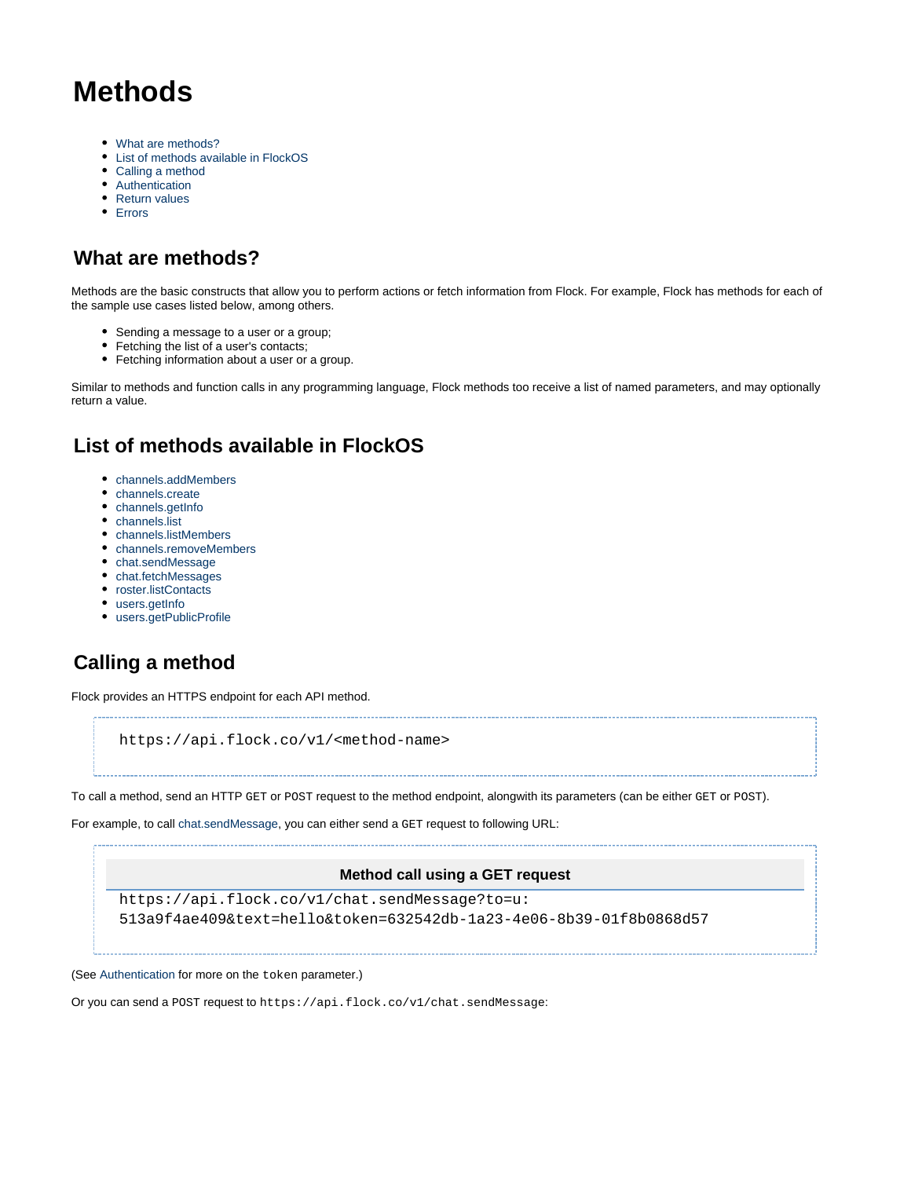# **Methods**

- [What are methods?](#page-0-0)
- [List of methods available in FlockOS](#page-0-1)
- [Calling a method](#page-0-2)
- [Authentication](#page-1-0)
- [Return values](#page-1-1)
- [Errors](#page-1-2)

## <span id="page-0-0"></span>**What are methods?**

Methods are the basic constructs that allow you to perform actions or fetch information from Flock. For example, Flock has methods for each of the sample use cases listed below, among others.

- Sending a message to a user or a group;
- Fetching the list of a user's contacts;
- ٠ Fetching information about a user or a group.

Similar to methods and function calls in any programming language, Flock methods too receive a list of named parameters, and may optionally return a value.

# <span id="page-0-1"></span>**List of methods available in FlockOS**

- [channels.addMembers](https://docs.flock.com/display/flockos/channels.addMembers)
- [channels.create](https://docs.flock.com/display/flockos/channels.create)
- [channels.getInfo](https://docs.flock.com/display/flockos/channels.getInfo)
- [channels.list](https://docs.flock.com/display/flockos/channels.list)
- [channels.listMembers](https://docs.flock.com/display/flockos/channels.listMembers)
- [channels.removeMembers](https://docs.flock.com/display/flockos/channels.removeMembers)
- [chat.sendMessage](https://docs.flock.com/display/flockos/chat.sendMessage)
- [chat.fetchMessages](https://docs.flock.com/display/flockos/chat.fetchMessages)
- [roster.listContacts](https://docs.flock.com/display/flockos/roster.listContacts)
- [users.getInfo](https://docs.flock.com/display/flockos/users.getInfo)
- [users.getPublicProfile](https://docs.flock.com/display/flockos/users.getPublicProfile)

# <span id="page-0-2"></span>**Calling a method**

Flock provides an HTTPS endpoint for each API method.

https://api.flock.co/v1/<method-name>

To call a method, send an HTTP GET or POST request to the method endpoint, alongwith its parameters (can be either GET or POST).

For example, to call [chat.sendMessage,](https://docs.flock.com/display/flockos/chat.sendMessage) you can either send a GET request to following URL:

#### **Method call using a GET request**

```
https://api.flock.co/v1/chat.sendMessage?to=u:
513a9f4ae409&text=hello&token=632542db-1a23-4e06-8b39-01f8b0868d57
```
(See [Authentication](#page-1-3) for more on the token parameter.)

Or you can send a POST request to https://api.flock.co/v1/chat.sendMessage: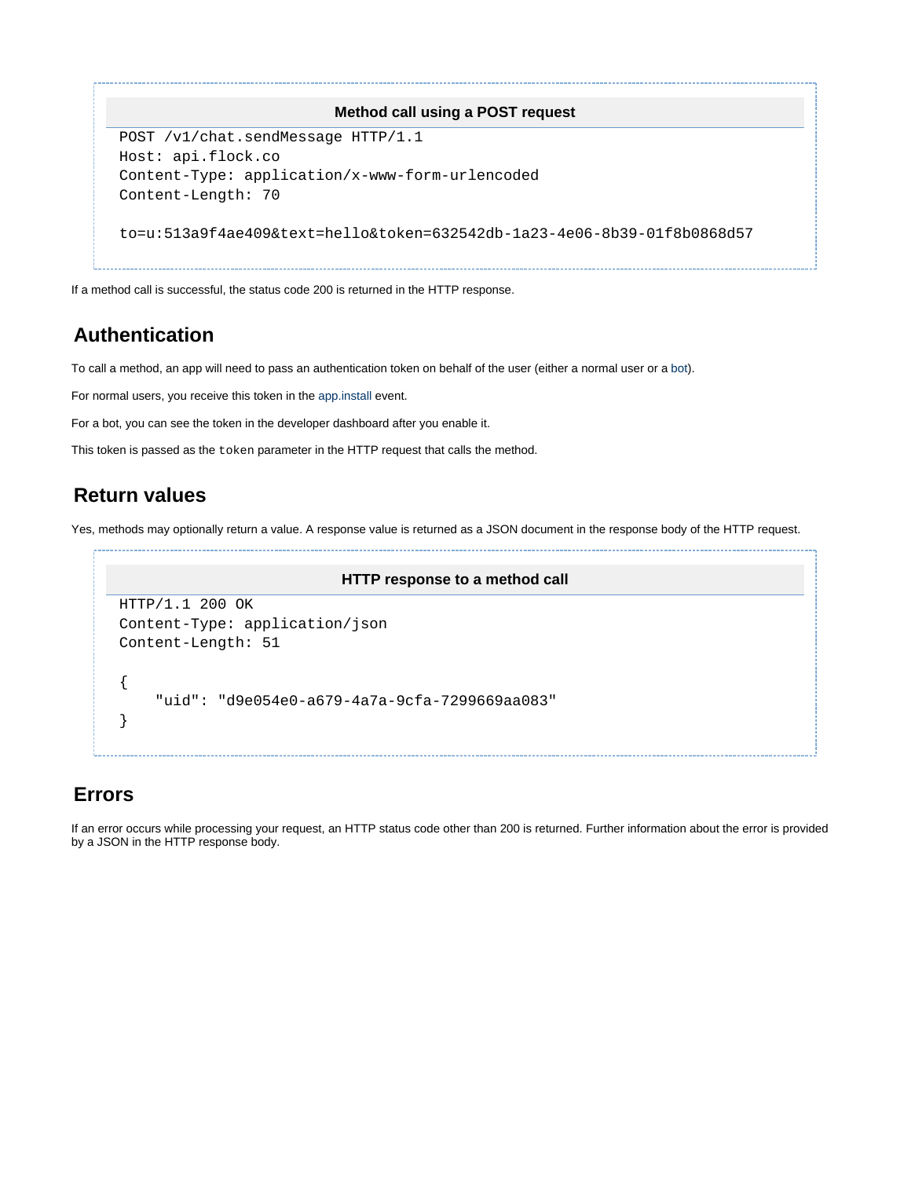

If a method call is successful, the status code 200 is returned in the HTTP response.

### <span id="page-1-3"></span><span id="page-1-0"></span>**Authentication**

To call a method, an app will need to pass an authentication token on behalf of the user (either a normal user or a [bot](https://docs.flock.com/display/flockos/Bots)).

For normal users, you receive this token in the [app.install](https://docs.flock.com/display/flockos/app.install) event.

For a bot, you can see the token in the developer dashboard after you enable it.

This token is passed as the token parameter in the HTTP request that calls the method.

### <span id="page-1-1"></span>**Return values**

Yes, methods may optionally return a value. A response value is returned as a JSON document in the response body of the HTTP request.

```
HTTP response to a method call
HTTP/1.1 200 OK
Content-Type: application/json
Content-Length: 51
{
     "uid": "d9e054e0-a679-4a7a-9cfa-7299669aa083"
}
```
### <span id="page-1-2"></span>**Errors**

If an error occurs while processing your request, an HTTP status code other than 200 is returned. Further information about the error is provided by a JSON in the HTTP response body.